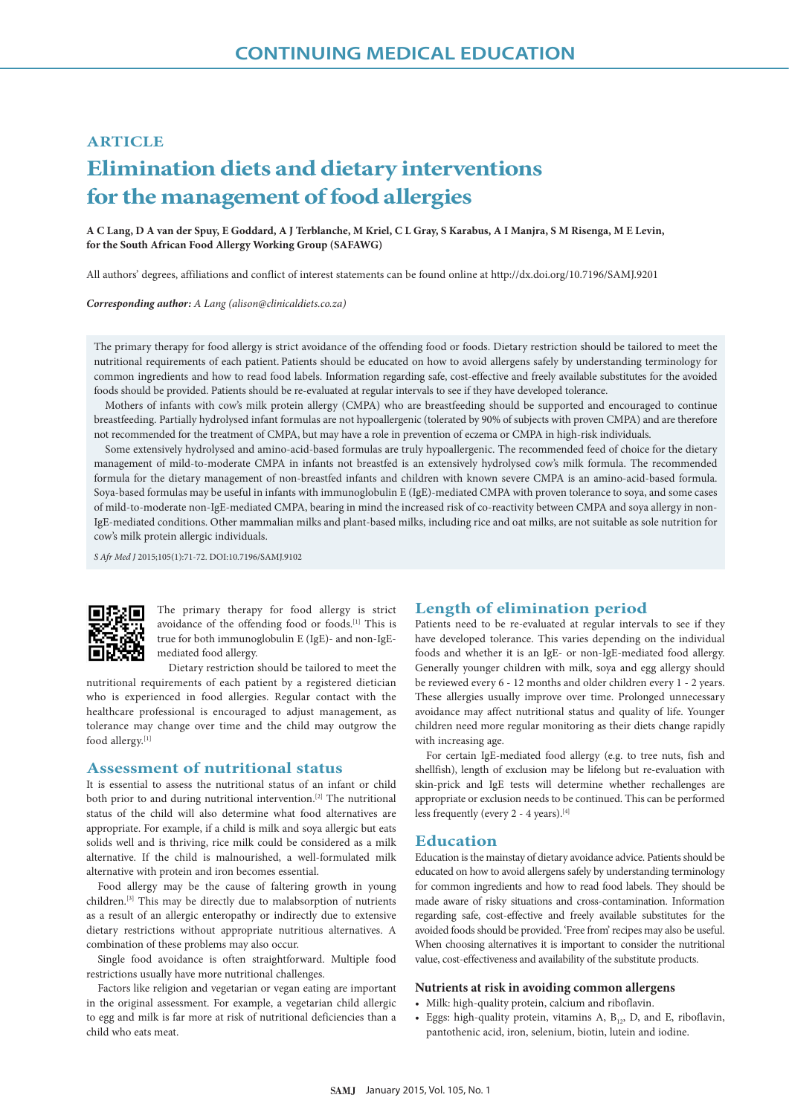# **ARTICLE Elimination diets and dietary interventions for the management of food allergies**

**A C Lang, D A van der Spuy, E Goddard, A J Terblanche, M Kriel, C L Gray, S Karabus, A I Manjra, S M Risenga, M E Levin, for the South African Food Allergy Working Group (SAFAWG)**

All authors' degrees, affiliations and conflict of interest statements can be found online at http://dx.doi.org/10.7196/SAMJ.9201

*Corresponding author: A Lang (alison@clinicaldiets.co.za)* 

The primary therapy for food allergy is strict avoidance of the offending food or foods. Dietary restriction should be tailored to meet the nutritional requirements of each patient. Patients should be educated on how to avoid allergens safely by understanding terminology for common ingredients and how to read food labels. Information regarding safe, cost-effective and freely available substitutes for the avoided foods should be provided. Patients should be re-evaluated at regular intervals to see if they have developed tolerance.

Mothers of infants with cow's milk protein allergy (CMPA) who are breastfeeding should be supported and encouraged to continue breastfeeding. Partially hydrolysed infant formulas are not hypoallergenic (tolerated by 90% of subjects with proven CMPA) and are therefore not recommended for the treatment of CMPA, but may have a role in prevention of eczema or CMPA in high-risk individuals.

Some extensively hydrolysed and amino-acid-based formulas are truly hypoallergenic. The recommended feed of choice for the dietary management of mild-to-moderate CMPA in infants not breastfed is an extensively hydrolysed cow's milk formula. The recommended formula for the dietary management of non-breastfed infants and children with known severe CMPA is an amino-acid-based formula. Soya-based formulas may be useful in infants with immunoglobulin E (IgE)-mediated CMPA with proven tolerance to soya, and some cases of mild-to-moderate non-IgE-mediated CMPA, bearing in mind the increased risk of co-reactivity between CMPA and soya allergy in non-IgE-mediated conditions. Other mammalian milks and plant-based milks, including rice and oat milks, are not suitable as sole nutrition for cow's milk protein allergic individuals.

*S Afr Med J* 2015;105(1):71-72. DOI:10.7196/SAMJ.9102



The primary therapy for food allergy is strict avoidance of the offending food or foods.<sup>[1]</sup> This is true for both immunoglobulin E (IgE)- and non-IgEmediated food allergy.

Dietary restriction should be tailored to meet the nutritional requirements of each patient by a registered dietician who is experienced in food allergies. Regular contact with the healthcare professional is encouraged to adjust management, as tolerance may change over time and the child may outgrow the food allergy.[1]

## **Assessment of nutritional status**

It is essential to assess the nutritional status of an infant or child both prior to and during nutritional intervention.<sup>[2]</sup> The nutritional status of the child will also determine what food alternatives are appropriate. For example, if a child is milk and soya allergic but eats solids well and is thriving, rice milk could be considered as a milk alternative. If the child is malnourished, a well-formulated milk alternative with protein and iron becomes essential.

Food allergy may be the cause of faltering growth in young children.[3] This may be directly due to malabsorption of nutrients as a result of an allergic enteropathy or indirectly due to extensive dietary restrictions without appropriate nutritious alternatives. A combination of these problems may also occur.

Single food avoidance is often straightforward. Multiple food restrictions usually have more nutritional challenges.

Factors like religion and vegetarian or vegan eating are important in the original assessment. For example, a vegetarian child allergic to egg and milk is far more at risk of nutritional deficiencies than a child who eats meat.

## **Length of elimination period**

Patients need to be re-evaluated at regular intervals to see if they have developed tolerance. This varies depending on the individual foods and whether it is an IgE- or non-IgE-mediated food allergy. Generally younger children with milk, soya and egg allergy should be reviewed every 6 - 12 months and older children every 1 - 2 years. These allergies usually improve over time. Prolonged unnecessary avoidance may affect nutritional status and quality of life. Younger children need more regular monitoring as their diets change rapidly with increasing age.

For certain IgE-mediated food allergy (e.g. to tree nuts, fish and shellfish), length of exclusion may be lifelong but re-evaluation with skin-prick and IgE tests will determine whether rechallenges are appropriate or exclusion needs to be continued. This can be performed less frequently (every 2 - 4 years).<sup>[4]</sup>

## **Education**

Education is the mainstay of dietary avoidance advice. Patients should be educated on how to avoid allergens safely by understanding terminology for common ingredients and how to read food labels. They should be made aware of risky situations and cross-contamination. Information regarding safe, cost-effective and freely available substitutes for the avoided foods should be provided. 'Free from' recipes may also be useful. When choosing alternatives it is important to consider the nutritional value, cost-effectiveness and availability of the substitute products.

#### **Nutrients at risk in avoiding common allergens**

- Milk: high-quality protein, calcium and riboflavin.
- Eggs: high-quality protein, vitamins A,  $B_{12}$ , D, and E, riboflavin, pantothenic acid, iron, selenium, biotin, lutein and iodine.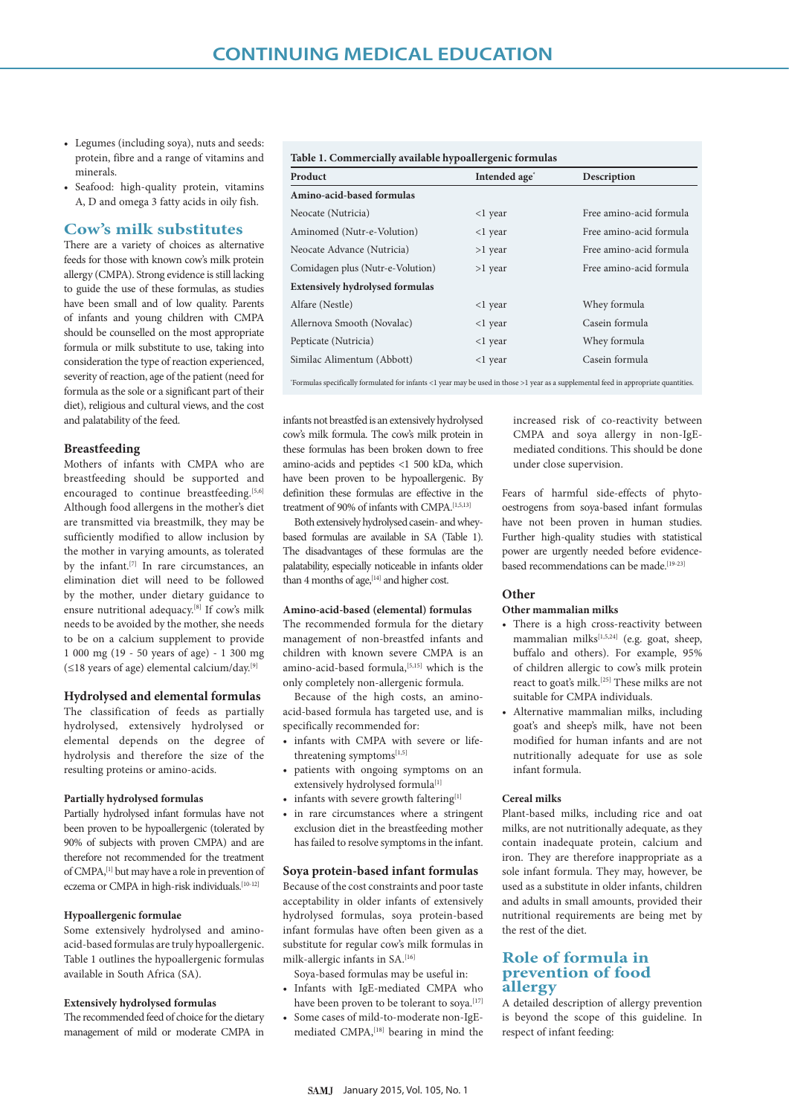**Table 1. Commercially available hypoallergenic formulas**

- Legumes (including soya), nuts and seeds: protein, fibre and a range of vitamins and minerals.
- Seafood: high-quality protein, vitamins A, D and omega 3 fatty acids in oily fish.

# **Cow's milk substitutes**

There are a variety of choices as alternative feeds for those with known cow's milk protein allergy (CMPA). Strong evidence is still lacking to guide the use of these formulas, as studies have been small and of low quality. Parents of infants and young children with CMPA should be counselled on the most appropriate formula or milk substitute to use, taking into consideration the type of reaction experienced, severity of reaction, age of the patient (need for formula as the sole or a significant part of their diet), religious and cultural views, and the cost and palatability of the feed.

## **Breastfeeding**

Mothers of infants with CMPA who are breastfeeding should be supported and encouraged to continue breastfeeding.<sup>[5,6]</sup> Although food allergens in the mother's diet are transmitted via breastmilk, they may be sufficiently modified to allow inclusion by the mother in varying amounts, as tolerated by the infant.<sup>[7]</sup> In rare circumstances, an elimination diet will need to be followed by the mother, under dietary guidance to ensure nutritional adequacy.<sup>[8]</sup> If cow's milk needs to be avoided by the mother, she needs to be on a calcium supplement to provide 1 000 mg (19 - 50 years of age) - 1 300 mg (≤18 years of age) elemental calcium/day.[9]

## **Hydrolysed and elemental formulas**

The classification of feeds as partially hydrolysed, extensively hydrolysed or elemental depends on the degree of hydrolysis and therefore the size of the resulting proteins or amino-acids.

### **Partially hydrolysed formulas**

Partially hydrolysed infant formulas have not been proven to be hypoallergenic (tolerated by 90% of subjects with proven CMPA) and are therefore not recommended for the treatment of CMPA,<sup>[1]</sup> but may have a role in prevention of eczema or CMPA in high-risk individuals.<sup>[10-12]</sup>

#### **Hypoallergenic formulae**

Some extensively hydrolysed and aminoacid-based formulas are truly hypoallergenic. Table 1 outlines the hypoallergenic formulas available in South Africa (SA).

### **Extensively hydrolysed formulas**

The recommended feed of choice for the dietary management of mild or moderate CMPA in

| Product                                | Intended age <sup>*</sup> | Description             |
|----------------------------------------|---------------------------|-------------------------|
| Amino-acid-based formulas              |                           |                         |
| Neocate (Nutricia)                     | $<$ 1 year                | Free amino-acid formula |
| Aminomed (Nutr-e-Volution)             | $<$ 1 year                | Free amino-acid formula |
| Neocate Advance (Nutricia)             | $>1$ year                 | Free amino-acid formula |
| Comidagen plus (Nutr-e-Volution)       | $>1$ year                 | Free amino-acid formula |
| <b>Extensively hydrolysed formulas</b> |                           |                         |
| Alfare (Nestle)                        | $<$ 1 year                | Whey formula            |
| Allernova Smooth (Novalac)             | $<$ 1 year                | Casein formula          |
| Pepticate (Nutricia)                   | $<$ 1 year                | Whey formula            |
| Similac Alimentum (Abbott)             | $<$ 1 year                | Casein formula          |

\* Formulas specifically formulated for infants <1 year may be used in those >1 year as a supplemental feed in appropriate quantities.

infants not breastfed is an extensively hydrolysed cow's milk formula. The cow's milk protein in these formulas has been broken down to free amino-acids and peptides <1 500 kDa, which have been proven to be hypoallergenic. By definition these formulas are effective in the treatment of 90% of infants with CMPA.<sup>[1,5,13]</sup>

Both extensively hydrolysed casein- and wheybased formulas are available in SA (Table 1). The disadvantages of these formulas are the palatability, especially noticeable in infants older than 4 months of age,  $[14]$  and higher cost.

### **Amino-acid-based (elemental) formulas**

The recommended formula for the dietary management of non-breastfed infants and children with known severe CMPA is an amino-acid-based formula,<sup>[5,15]</sup> which is the only completely non-allergenic formula.

Because of the high costs, an aminoacid-based formula has targeted use, and is specifically recommended for:

- infants with CMPA with severe or lifethreatening symptoms<sup>[1,5]</sup>
- patients with ongoing symptoms on an extensively hydrolysed formula<sup>[1]</sup>
- infants with severe growth faltering $[1]$
- in rare circumstances where a stringent exclusion diet in the breastfeeding mother has failed to resolve symptoms in the infant.

#### **Soya protein-based infant formulas**

Because of the cost constraints and poor taste acceptability in older infants of extensively hydrolysed formulas, soya protein-based infant formulas have often been given as a substitute for regular cow's milk formulas in milk-allergic infants in SA.<sup>[16]</sup>

- Soya-based formulas may be useful in: • Infants with IgE-mediated CMPA who
- have been proven to be tolerant to soya.<sup>[17]</sup> • Some cases of mild-to-moderate non-IgE-
- mediated CMPA,<sup>[18]</sup> bearing in mind the

increased risk of co-reactivity between CMPA and soya allergy in non-IgEmediated conditions. This should be done under close supervision.

Fears of harmful side-effects of phytooestrogens from soya-based infant formulas have not been proven in human studies. Further high-quality studies with statistical power are urgently needed before evidencebased recommendations can be made.<sup>[19-23]</sup>

## **Other**

## **Other mammalian milks**

- There is a high cross-reactivity between mammalian milks<sup>[1,5,24]</sup> (e.g. goat, sheep, buffalo and others). For example, 95% of children allergic to cow's milk protein react to goat's milk.[25] These milks are not suitable for CMPA individuals.
- Alternative mammalian milks, including goat's and sheep's milk, have not been modified for human infants and are not nutritionally adequate for use as sole infant formula.

#### **Cereal milks**

Plant-based milks, including rice and oat milks, are not nutritionally adequate, as they contain inadequate protein, calcium and iron. They are therefore inappropriate as a sole infant formula. They may, however, be used as a substitute in older infants, children and adults in small amounts, provided their nutritional requirements are being met by the rest of the diet.

# **Role of formula in prevention of food allergy**

A detailed description of allergy prevention is beyond the scope of this guideline. In respect of infant feeding: